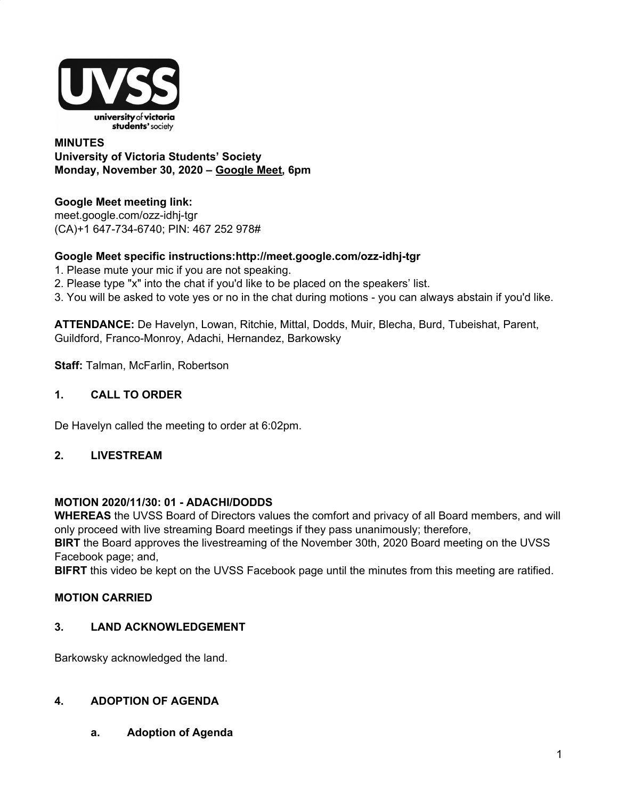

## **MINUTES University of Victoria Students' Society Monday, November 30, 2020 – [Google](http://meet.google.com/ozz-idhj-tgr) Meet, 6pm**

## **Google Meet meeting link[:](https://us02web.zoom.us/j/84726203931?pwd=bGNKTElKZEFIWkNvRlY2TFBqb3dQUT09)**

[meet.google.com/ozz-idhj-tgr](https://meet.google.com/ozz-idhj-tgr?hs=122&authuser=2) (CA)+1 647-734-6740; PIN: 467 252 978#

## **Google Meet specific instructions:http://meet.google.com/ozz-idhj-tgr**

- 1. Please mute your mic if you are not speaking.
- 2. Please type "x" into the chat if you'd like to be placed on the speakers' list.
- 3. You will be asked to vote yes or no in the chat during motions you can always abstain if you'd like.

**ATTENDANCE:** De Havelyn, Lowan, Ritchie, Mittal, Dodds, Muir, Blecha, Burd, Tubeishat, Parent, Guildford, Franco-Monroy, Adachi, Hernandez, Barkowsky

**Staff:** Talman, McFarlin, Robertson

## **1. CALL TO ORDER**

De Havelyn called the meeting to order at 6:02pm.

## **2. LIVESTREAM**

## **MOTION 2020/11/30: 01 - ADACHI/DODDS**

**WHEREAS** the UVSS Board of Directors values the comfort and privacy of all Board members, and will only proceed with live streaming Board meetings if they pass unanimously; therefore,

**BIRT** the Board approves the livestreaming of the November 30th, 2020 Board meeting on the UVSS Facebook page; and,

**BIFRT** this video be kept on the UVSS Facebook page until the minutes from this meeting are ratified.

## **MOTION CARRIED**

## **3. LAND ACKNOWLEDGEMENT**

Barkowsky acknowledged the land.

## **4. ADOPTION OF AGENDA**

**a. Adoption of Agenda**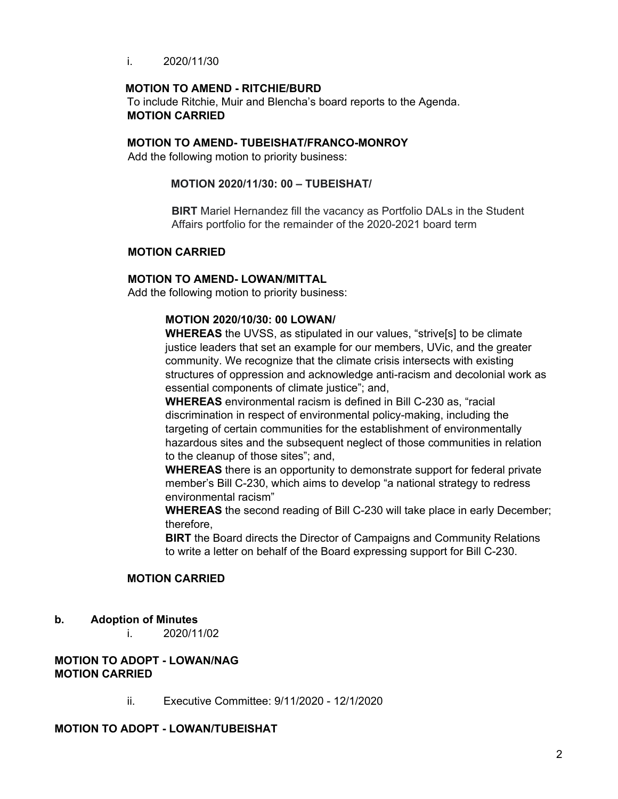i. 2020/11/30

#### **MOTION TO AMEND - RITCHIE/BURD**

To include Ritchie, Muir and Blencha's board reports to the Agenda. **MOTION CARRIED**

#### **MOTION TO AMEND- TUBEISHAT/FRANCO-MONROY**

Add the following motion to priority business:

#### **MOTION 2020/11/30: 00 – TUBEISHAT/**

**BIRT** Mariel Hernandez fill the vacancy as Portfolio DALs in the Student Affairs portfolio for the remainder of the 2020-2021 board term

#### **MOTION CARRIED**

#### **MOTION TO AMEND- LOWAN/MITTAL**

Add the following motion to priority business:

#### **MOTION 2020/10/30: 00 LOWAN/**

**WHEREAS** the UVSS, as stipulated in our values, "strive[s] to be climate justice leaders that set an example for our members, UVic, and the greater community. We recognize that the climate crisis intersects with existing structures of oppression and acknowledge anti-racism and decolonial work as essential components of climate justice"; and,

**WHEREAS** environmental racism is defined in Bill C-230 as, "racial discrimination in respect of environmental policy-making, including the targeting of certain communities for the establishment of environmentally hazardous sites and the subsequent neglect of those communities in relation to the cleanup of those sites"; and,

**WHEREAS** there is an opportunity to demonstrate support for federal private member's Bill C-230, which aims to develop "a national strategy to redress environmental racism"

**WHEREAS** the second reading of Bill C-230 will take place in early December; therefore,

**BIRT** the Board directs the Director of Campaigns and Community Relations to write a letter on behalf of the Board expressing support for Bill C-230.

#### **MOTION CARRIED**

#### **b. Adoption of Minutes**

i. 2020/11/02

## **MOTION TO ADOPT - LOWAN/NAG MOTION CARRIED**

ii. Executive Committee: 9/11/2020 - 12/1/2020

#### **MOTION TO ADOPT - LOWAN/TUBEISHAT**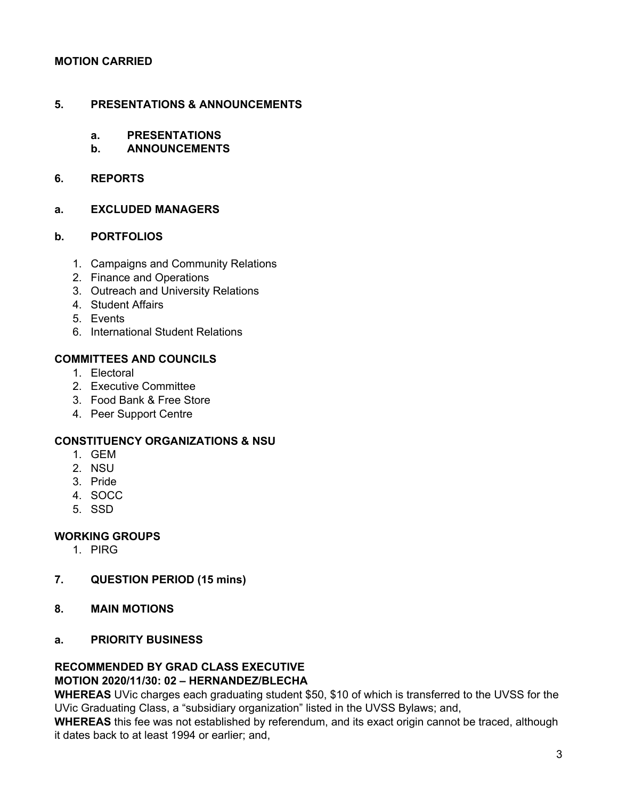## **MOTION CARRIED**

## **5. PRESENTATIONS & ANNOUNCEMENTS**

- **a. PRESENTATIONS**
- **b. ANNOUNCEMENTS**

#### **6. REPORTS**

#### **a. EXCLUDED MANAGERS**

#### **b. PORTFOLIOS**

- 1. Campaigns and Community Relations
- 2. Finance and Operations
- 3. Outreach and University Relations
- 4. Student Affairs
- 5. Events
- 6. International Student Relations

## **COMMITTEES AND COUNCILS**

- 1. Electoral
- 2. Executive Committee
- 3. Food Bank & Free Store
- 4. Peer Support Centre

## **CONSTITUENCY ORGANIZATIONS & NSU**

- 1. GEM
- 2. NSU
- 3. Pride
- 4. SOCC
- 5. SSD

## **WORKING GROUPS**

- 1. PIRG
- **7. QUESTION PERIOD (15 mins)**
- **8. MAIN MOTIONS**
- **a. PRIORITY BUSINESS**

#### **RECOMMENDED BY GRAD CLASS EXECUTIVE MOTION 2020/11/30: 02 – HERNANDEZ/BLECHA**

**WHEREAS** UVic charges each graduating student \$50, \$10 of which is transferred to the UVSS for the UVic Graduating Class, a "subsidiary organization" listed in the UVSS Bylaws; and,

**WHEREAS** this fee was not established by referendum, and its exact origin cannot be traced, although it dates back to at least 1994 or earlier; and,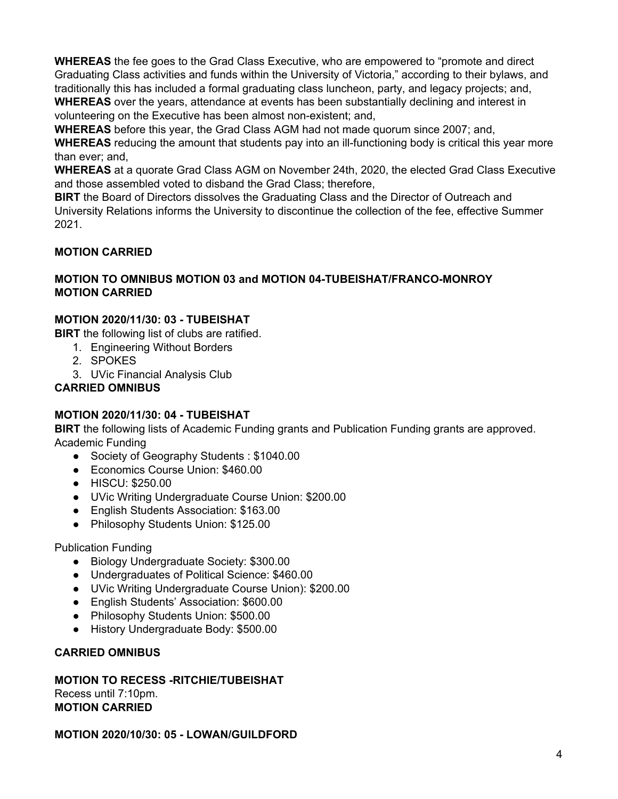**WHEREAS** the fee goes to the Grad Class Executive, who are empowered to "promote and direct Graduating Class activities and funds within the University of Victoria," according to their bylaws, and traditionally this has included a formal graduating class luncheon, party, and legacy projects; and, **WHEREAS** over the years, attendance at events has been substantially declining and interest in volunteering on the Executive has been almost non-existent; and,

**WHEREAS** before this year, the Grad Class AGM had not made quorum since 2007; and,

**WHEREAS** reducing the amount that students pay into an ill-functioning body is critical this year more than ever; and,

**WHEREAS** at a quorate Grad Class AGM on November 24th, 2020, the elected Grad Class Executive and those assembled voted to disband the Grad Class; therefore,

**BIRT** the Board of Directors dissolves the Graduating Class and the Director of Outreach and University Relations informs the University to discontinue the collection of the fee, effective Summer 2021.

## **MOTION CARRIED**

## **MOTION TO OMNIBUS MOTION 03 and MOTION 04-TUBEISHAT/FRANCO-MONROY MOTION CARRIED**

## **MOTION 2020/11/30: 03 - TUBEISHAT**

**BIRT** the following list of clubs are ratified.

- 1. Engineering Without Borders
- 2. SPOKES
- 3. UVic Financial Analysis Club

## **CARRIED OMNIBUS**

## **MOTION 2020/11/30: 04 - TUBEISHAT**

**BIRT** the following lists of Academic Funding grants and Publication Funding grants are approved. Academic Funding

- Society of Geography Students : \$1040.00
- Economics Course Union: \$460.00
- HISCU: \$250.00
- UVic Writing Undergraduate Course Union: \$200.00
- English Students Association: \$163.00
- Philosophy Students Union: \$125.00

## Publication Funding

- Biology Undergraduate Society: \$300.00
- Undergraduates of Political Science: \$460.00
- UVic Writing Undergraduate Course Union): \$200.00
- English Students' Association: \$600.00
- Philosophy Students Union: \$500.00
- History Undergraduate Body: \$500.00

## **CARRIED OMNIBUS**

#### **MOTION TO RECESS -RITCHIE/TUBEISHAT** Recess until 7:10pm. **MOTION CARRIED**

## **MOTION 2020/10/30: 05 - LOWAN/GUILDFORD**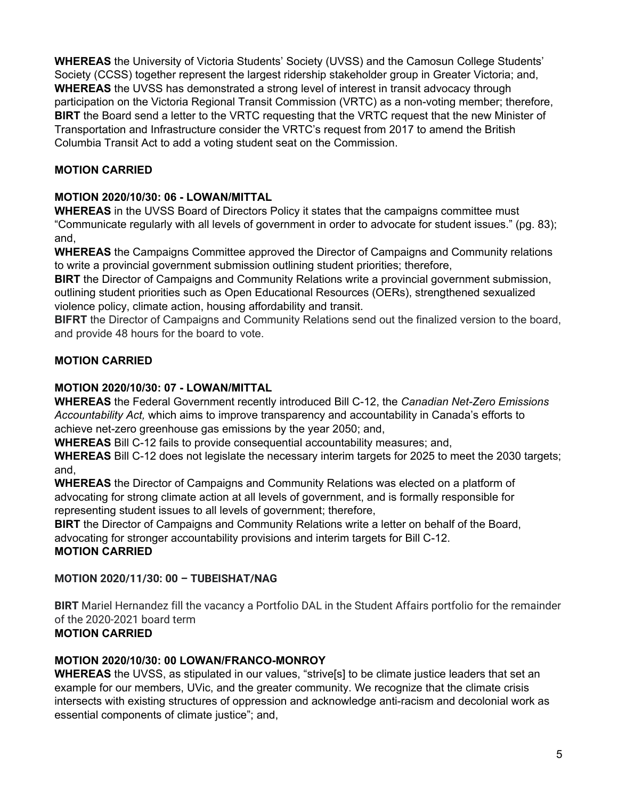**WHEREAS** the University of Victoria Students' Society (UVSS) and the Camosun College Students' Society (CCSS) together represent the largest ridership stakeholder group in Greater Victoria; and, **WHEREAS** the UVSS has demonstrated a strong level of interest in transit advocacy through participation on the Victoria Regional Transit Commission (VRTC) as a non-voting member; therefore, **BIRT** the Board send a letter to the VRTC requesting that the VRTC request that the new Minister of Transportation and Infrastructure consider the VRTC's request from 2017 to amend the British Columbia Transit Act to add a voting student seat on the Commission.

# **MOTION CARRIED**

# **MOTION 2020/10/30: 06 - LOWAN/MITTAL**

**WHEREAS** in the UVSS Board of Directors Policy it states that the campaigns committee must "Communicate regularly with all levels of government in order to advocate for student issues." (pg. 83); and,

**WHEREAS** the Campaigns Committee approved the Director of Campaigns and Community relations to write a provincial government submission outlining student priorities; therefore,

**BIRT** the Director of Campaigns and Community Relations write a provincial government submission, outlining student priorities such as Open Educational Resources (OERs), strengthened sexualized violence policy, climate action, housing affordability and transit.

**BIFRT** the Director of Campaigns and Community Relations send out the finalized version to the board, and provide 48 hours for the board to vote.

# **MOTION CARRIED**

## **MOTION 2020/10/30: 07 - LOWAN/MITTAL**

**WHEREAS** the Federal Government recently introduced Bill C-12, the *Canadian Net-Zero Emissions Accountability Act,* which aims to improve transparency and accountability in Canada's efforts to achieve net-zero greenhouse gas emissions by the year 2050; and,

**WHEREAS** Bill C-12 fails to provide consequential accountability measures; and,

**WHEREAS** Bill C-12 does not legislate the necessary interim targets for 2025 to meet the 2030 targets; and,

**WHEREAS** the Director of Campaigns and Community Relations was elected on a platform of advocating for strong climate action at all levels of government, and is formally responsible for representing student issues to all levels of government; therefore,

**BIRT** the Director of Campaigns and Community Relations write a letter on behalf of the Board, advocating for stronger accountability provisions and interim targets for Bill C-12. **MOTION CARRIED**

## **MOTION 2020/11/30: 00 – TUBEISHAT/NAG**

**BIRT** Mariel Hernandez fill the vacancy a Portfolio DAL in the Student Affairs portfolio for the remainder of the 2020-2021 board term **MOTION CARRIED**

## **MOTION 2020/10/30: 00 LOWAN/FRANCO-MONROY**

**WHEREAS** the UVSS, as stipulated in our values, "strive[s] to be climate justice leaders that set an example for our members, UVic, and the greater community. We recognize that the climate crisis intersects with existing structures of oppression and acknowledge anti-racism and decolonial work as essential components of climate justice"; and,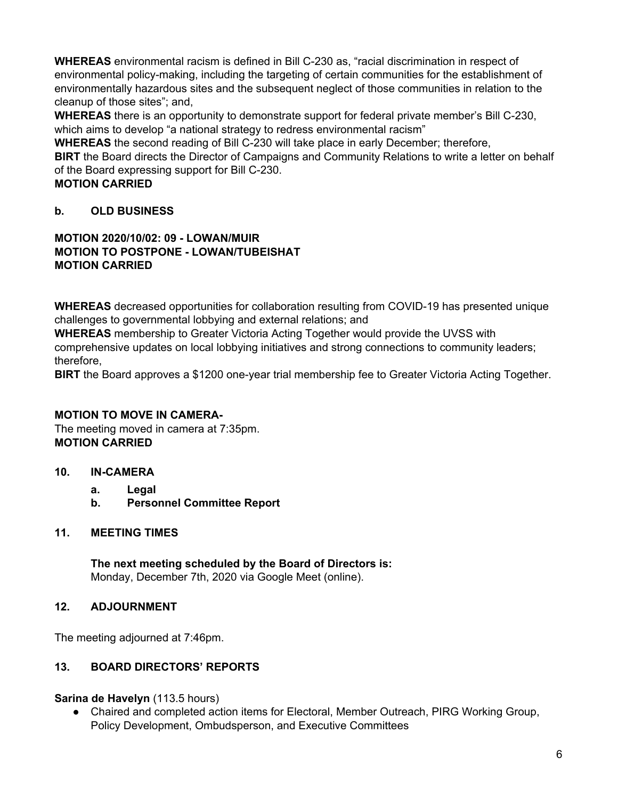**WHEREAS** environmental racism is defined in Bill C-230 as, "racial discrimination in respect of environmental policy-making, including the targeting of certain communities for the establishment of environmentally hazardous sites and the subsequent neglect of those communities in relation to the cleanup of those sites"; and,

**WHEREAS** there is an opportunity to demonstrate support for federal private member's Bill C-230, which aims to develop "a national strategy to redress environmental racism"

**WHEREAS** the second reading of Bill C-230 will take place in early December; therefore,

**BIRT** the Board directs the Director of Campaigns and Community Relations to write a letter on behalf of the Board expressing support for Bill C-230.

**MOTION CARRIED**

# **b. OLD BUSINESS**

## **MOTION 2020/10/02: 09 - LOWAN/MUIR MOTION TO POSTPONE - LOWAN/TUBEISHAT MOTION CARRIED**

**WHEREAS** decreased opportunities for collaboration resulting from COVID-19 has presented unique challenges to governmental lobbying and external relations; and

**WHEREAS** membership to Greater Victoria Acting Together would provide the UVSS with comprehensive updates on local lobbying initiatives and strong connections to community leaders; therefore,

**BIRT** the Board approves a \$1200 one-year trial membership fee to Greater Victoria Acting Together.

## **MOTION TO MOVE IN CAMERA-**

The meeting moved in camera at 7:35pm. **MOTION CARRIED**

## **10. IN-CAMERA**

- **a. Legal**
- **b. Personnel Committee Report**

## **11. MEETING TIMES**

**The next meeting scheduled by the Board of Directors is:** Monday, December 7th, 2020 via Google Meet (online).

## **12. ADJOURNMENT**

The meeting adjourned at 7:46pm.

## **13. BOARD DIRECTORS' REPORTS**

**Sarina de Havelyn** (113.5 hours)

Chaired and completed action items for Electoral, Member Outreach, PIRG Working Group, Policy Development, Ombudsperson, and Executive Committees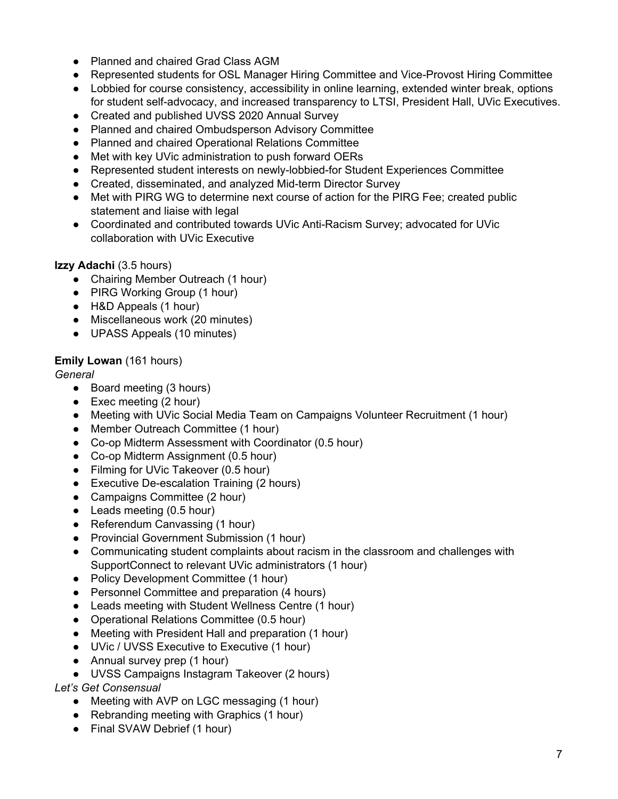- Planned and chaired Grad Class AGM
- Represented students for OSL Manager Hiring Committee and Vice-Provost Hiring Committee
- Lobbied for course consistency, accessibility in online learning, extended winter break, options for student self-advocacy, and increased transparency to LTSI, President Hall, UVic Executives.
- Created and published UVSS 2020 Annual Survey
- Planned and chaired Ombudsperson Advisory Committee
- Planned and chaired Operational Relations Committee
- Met with key UVic administration to push forward OERs
- Represented student interests on newly-lobbied-for Student Experiences Committee
- Created, disseminated, and analyzed Mid-term Director Survey
- Met with PIRG WG to determine next course of action for the PIRG Fee; created public statement and liaise with legal
- Coordinated and contributed towards UVic Anti-Racism Survey; advocated for UVic collaboration with UVic Executive

# **Izzy Adachi** (3.5 hours)

- Chairing Member Outreach (1 hour)
- PIRG Working Group (1 hour)
- H&D Appeals (1 hour)
- Miscellaneous work (20 minutes)
- UPASS Appeals (10 minutes)

# **Emily Lowan** (161 hours)

# *General*

- Board meeting (3 hours)
- Exec meeting (2 hour)
- Meeting with UVic Social Media Team on Campaigns Volunteer Recruitment (1 hour)
- Member Outreach Committee (1 hour)
- Co-op Midterm Assessment with Coordinator (0.5 hour)
- Co-op Midterm Assignment (0.5 hour)
- Filming for UVic Takeover (0.5 hour)
- Executive De-escalation Training (2 hours)
- Campaigns Committee (2 hour)
- Leads meeting (0.5 hour)
- Referendum Canvassing (1 hour)
- Provincial Government Submission (1 hour)
- Communicating student complaints about racism in the classroom and challenges with SupportConnect to relevant UVic administrators (1 hour)
- Policy Development Committee (1 hour)
- Personnel Committee and preparation (4 hours)
- Leads meeting with Student Wellness Centre (1 hour)
- Operational Relations Committee (0.5 hour)
- Meeting with President Hall and preparation (1 hour)
- UVic / UVSS Executive to Executive (1 hour)
- Annual survey prep (1 hour)
- UVSS Campaigns Instagram Takeover (2 hours)

# *Let's Get Consensual*

- Meeting with AVP on LGC messaging (1 hour)
- Rebranding meeting with Graphics (1 hour)
- Final SVAW Debrief (1 hour)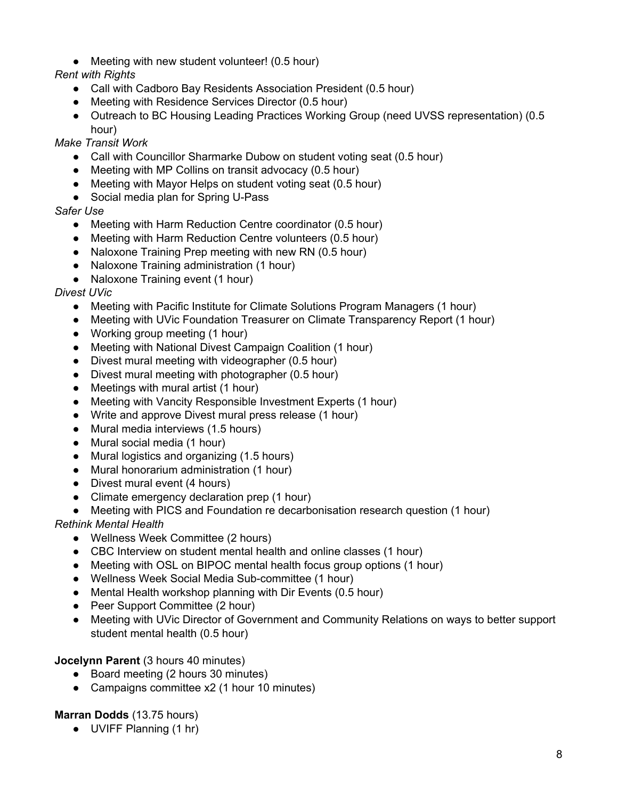● Meeting with new student volunteer! (0.5 hour)

*Rent with Rights*

- Call with Cadboro Bay Residents Association President (0.5 hour)
- Meeting with Residence Services Director (0.5 hour)
- Outreach to BC Housing Leading Practices Working Group (need UVSS representation) (0.5 hour)

# *Make Transit Work*

- Call with Councillor Sharmarke Dubow on student voting seat (0.5 hour)
- Meeting with MP Collins on transit advocacy (0.5 hour)
- Meeting with Mayor Helps on student voting seat (0.5 hour)
- Social media plan for Spring U-Pass

*Safer Use*

- Meeting with Harm Reduction Centre coordinator (0.5 hour)
- Meeting with Harm Reduction Centre volunteers (0.5 hour)
- Naloxone Training Prep meeting with new RN (0.5 hour)
- Naloxone Training administration (1 hour)
- Naloxone Training event (1 hour)

# *Divest UVic*

- Meeting with Pacific Institute for Climate Solutions Program Managers (1 hour)
- Meeting with UVic Foundation Treasurer on Climate Transparency Report (1 hour)
- Working group meeting (1 hour)
- Meeting with National Divest Campaign Coalition (1 hour)
- Divest mural meeting with videographer (0.5 hour)
- Divest mural meeting with photographer (0.5 hour)
- Meetings with mural artist (1 hour)
- Meeting with Vancity Responsible Investment Experts (1 hour)
- Write and approve Divest mural press release (1 hour)
- Mural media interviews (1.5 hours)
- Mural social media (1 hour)
- Mural logistics and organizing (1.5 hours)
- Mural honorarium administration (1 hour)
- Divest mural event (4 hours)
- Climate emergency declaration prep (1 hour)
- Meeting with PICS and Foundation re decarbonisation research question (1 hour)

*Rethink Mental Health*

- Wellness Week Committee (2 hours)
- CBC Interview on student mental health and online classes (1 hour)
- Meeting with OSL on BIPOC mental health focus group options (1 hour)
- Wellness Week Social Media Sub-committee (1 hour)
- Mental Health workshop planning with Dir Events (0.5 hour)
- Peer Support Committee (2 hour)
- Meeting with UVic Director of Government and Community Relations on ways to better support student mental health (0.5 hour)

**Jocelynn Parent** (3 hours 40 minutes)

- Board meeting (2 hours 30 minutes)
- Campaigns committee x2 (1 hour 10 minutes)

# **Marran Dodds** (13.75 hours)

● UVIFF Planning (1 hr)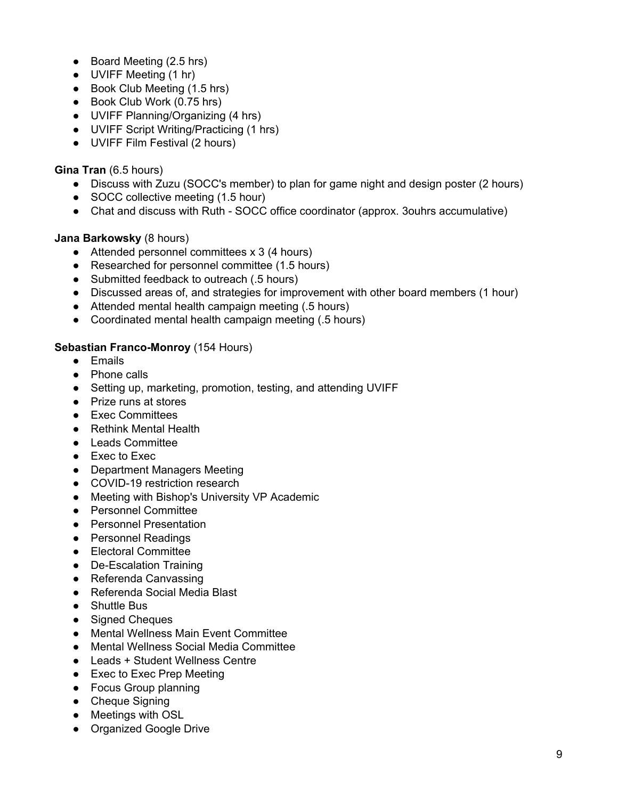- Board Meeting (2.5 hrs)
- UVIFF Meeting (1 hr)
- Book Club Meeting (1.5 hrs)
- Book Club Work (0.75 hrs)
- UVIFF Planning/Organizing (4 hrs)
- UVIFF Script Writing/Practicing (1 hrs)
- UVIFF Film Festival (2 hours)

## **Gina Tran** (6.5 hours)

- Discuss with Zuzu (SOCC's member) to plan for game night and design poster (2 hours)
- SOCC collective meeting (1.5 hour)
- Chat and discuss with Ruth SOCC office coordinator (approx. 3ouhrs accumulative)

# **Jana Barkowsky** (8 hours)

- Attended personnel committees x 3 (4 hours)
- Researched for personnel committee (1.5 hours)
- Submitted feedback to outreach (.5 hours)
- Discussed areas of, and strategies for improvement with other board members (1 hour)
- Attended mental health campaign meeting (.5 hours)
- Coordinated mental health campaign meeting (.5 hours)

# **Sebastian Franco-Monroy** (154 Hours)

- Emails
- Phone calls
- Setting up, marketing, promotion, testing, and attending UVIFF
- Prize runs at stores
- Exec Committees
- Rethink Mental Health
- Leads Committee
- Exec to Exec
- Department Managers Meeting
- COVID-19 restriction research
- Meeting with Bishop's University VP Academic
- Personnel Committee
- Personnel Presentation
- Personnel Readings
- Electoral Committee
- De-Escalation Training
- Referenda Canvassing
- Referenda Social Media Blast
- Shuttle Bus
- Signed Cheques
- Mental Wellness Main Event Committee
- Mental Wellness Social Media Committee
- Leads + Student Wellness Centre
- Exec to Exec Prep Meeting
- Focus Group planning
- Cheque Signing
- Meetings with OSL
- Organized Google Drive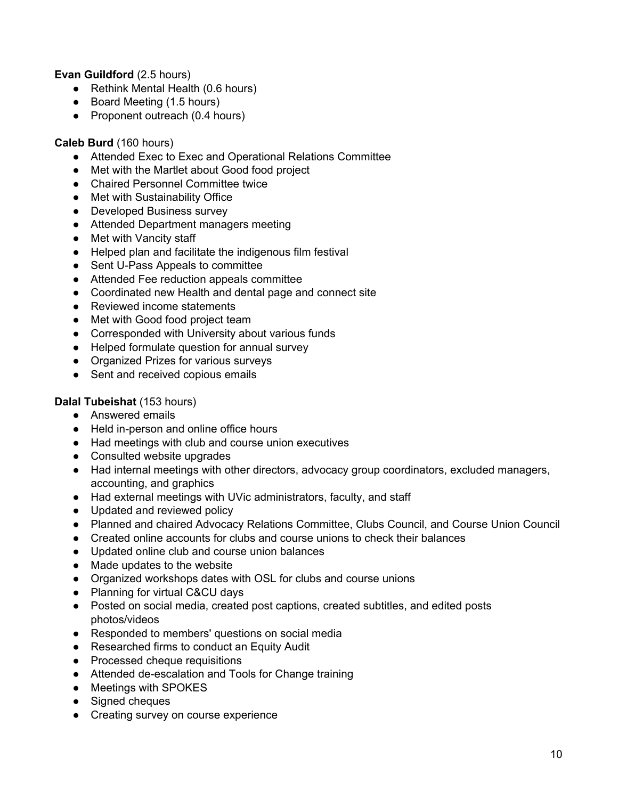## **Evan Guildford** (2.5 hours)

- Rethink Mental Health (0.6 hours)
- Board Meeting (1.5 hours)
- Proponent outreach (0.4 hours)

## **Caleb Burd** (160 hours)

- Attended Exec to Exec and Operational Relations Committee
- Met with the Martlet about Good food project
- Chaired Personnel Committee twice
- Met with Sustainability Office
- Developed Business survey
- Attended Department managers meeting
- Met with Vancity staff
- Helped plan and facilitate the indigenous film festival
- Sent U-Pass Appeals to committee
- Attended Fee reduction appeals committee
- Coordinated new Health and dental page and connect site
- Reviewed income statements
- Met with Good food project team
- Corresponded with University about various funds
- Helped formulate question for annual survey
- Organized Prizes for various surveys
- Sent and received copious emails

## **Dalal Tubeishat** (153 hours)

- Answered emails
- Held in-person and online office hours
- Had meetings with club and course union executives
- Consulted website upgrades
- Had internal meetings with other directors, advocacy group coordinators, excluded managers, accounting, and graphics
- Had external meetings with UVic administrators, faculty, and staff
- Updated and reviewed policy
- Planned and chaired Advocacy Relations Committee, Clubs Council, and Course Union Council
- Created online accounts for clubs and course unions to check their balances
- Updated online club and course union balances
- Made updates to the website
- Organized workshops dates with OSL for clubs and course unions
- Planning for virtual C&CU days
- Posted on social media, created post captions, created subtitles, and edited posts photos/videos
- Responded to members' questions on social media
- Researched firms to conduct an Equity Audit
- Processed cheque requisitions
- Attended de-escalation and Tools for Change training
- Meetings with SPOKES
- Signed cheques
- Creating survey on course experience